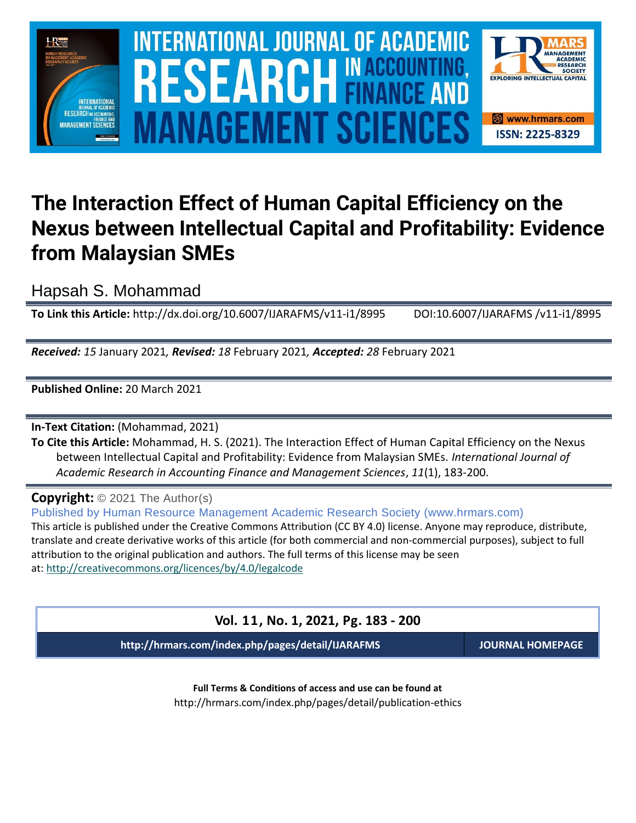

# **INTERNATIONAL JOURNAL OF ACADEMIC** R<sub>ADEMIC</sub> (1989) STAR SCIENCES SCIENCES SCIENCES **Vol. 1 1 , No. 1, 2021, E-ISSN: 2225-8329 © 2021 HRMARS MANAGEMENT SCIEI**



# **The Interaction Effect of Human Capital Efficiency on the Nexus between Intellectual Capital and Profitability: Evidence from Malaysian SMEs**

Hapsah S. Mohammad

**To Link this Article:** http://dx.doi.org/10.6007/IJARAFMS/v11-i1/8995 DOI:10.6007/IJARAFMS /v11-i1/8995

*Received: 15* January 2021*, Revised: 18* February 2021*, Accepted: 28* February 2021

**Published Online:** 20 March 2021

**In-Text Citation:** (Mohammad, 2021)

**To Cite this Article:** Mohammad, H. S. (2021). The Interaction Effect of Human Capital Efficiency on the Nexus between Intellectual Capital and Profitability: Evidence from Malaysian SMEs. *International Journal of Academic Research in Accounting Finance and Management Sciences*, *11*(1), 183-200.

**Copyright:** © 2021 The Author(s)

Published by Human Resource Management Academic Research Society (www.hrmars.com) This article is published under the Creative Commons Attribution (CC BY 4.0) license. Anyone may reproduce, distribute, translate and create derivative works of this article (for both commercial and non-commercial purposes), subject to full attribution to the original publication and authors. The full terms of this license may be seen at: <http://creativecommons.org/licences/by/4.0/legalcode>

**Vol. 11, No. 1, 2021, Pg. 183 - 200**

**http://hrmars.com/index.php/pages/detail/IJARAFMS JOURNAL HOMEPAGE**

**Full Terms & Conditions of access and use can be found at** http://hrmars.com/index.php/pages/detail/publication-ethics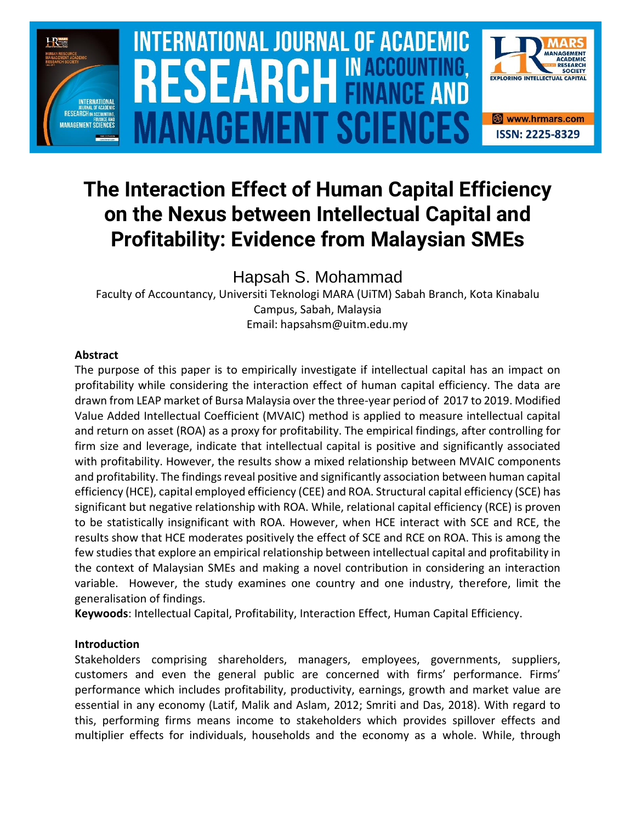

# INTERNATIONAL JOURNAL OF ACADEMIC RESEARCH IN ACCOUNTING, FINANCE AND R<sub>ADEMIC</sub> (1989) STAR SCIENCES SCIENCES SCIENCES **Vol. 1 1 , No. 1, 2021, E-ISSN: 2225-8329 © 2021 HRMARS MANAGEMENT SCIEN**



# **The Interaction Effect of Human Capital Efficiency on the Nexus between Intellectual Capital and Profitability: Evidence from Malaysian SMEs**

Hapsah S. Mohammad

Faculty of Accountancy, Universiti Teknologi MARA (UiTM) Sabah Branch, Kota Kinabalu Campus, Sabah, Malaysia Email: hapsahsm@uitm.edu.my

# **Abstract**

The purpose of this paper is to empirically investigate if intellectual capital has an impact on profitability while considering the interaction effect of human capital efficiency. The data are drawn from LEAP market of Bursa Malaysia over the three-year period of 2017 to 2019. Modified Value Added Intellectual Coefficient (MVAIC) method is applied to measure intellectual capital and return on asset (ROA) as a proxy for profitability. The empirical findings, after controlling for firm size and leverage, indicate that intellectual capital is positive and significantly associated with profitability. However, the results show a mixed relationship between MVAIC components and profitability. The findings reveal positive and significantly association between human capital efficiency (HCE), capital employed efficiency (CEE) and ROA. Structural capital efficiency (SCE) has significant but negative relationship with ROA. While, relational capital efficiency (RCE) is proven to be statistically insignificant with ROA. However, when HCE interact with SCE and RCE, the results show that HCE moderates positively the effect of SCE and RCE on ROA. This is among the few studies that explore an empirical relationship between intellectual capital and profitability in the context of Malaysian SMEs and making a novel contribution in considering an interaction variable. However, the study examines one country and one industry, therefore, limit the generalisation of findings.

**Keywoods**: Intellectual Capital, Profitability, Interaction Effect, Human Capital Efficiency.

# **Introduction**

Stakeholders comprising shareholders, managers, employees, governments, suppliers, customers and even the general public are concerned with firms' performance. Firms' performance which includes profitability, productivity, earnings, growth and market value are essential in any economy (Latif, Malik and Aslam, 2012; Smriti and Das, 2018). With regard to this, performing firms means income to stakeholders which provides spillover effects and multiplier effects for individuals, households and the economy as a whole. While, through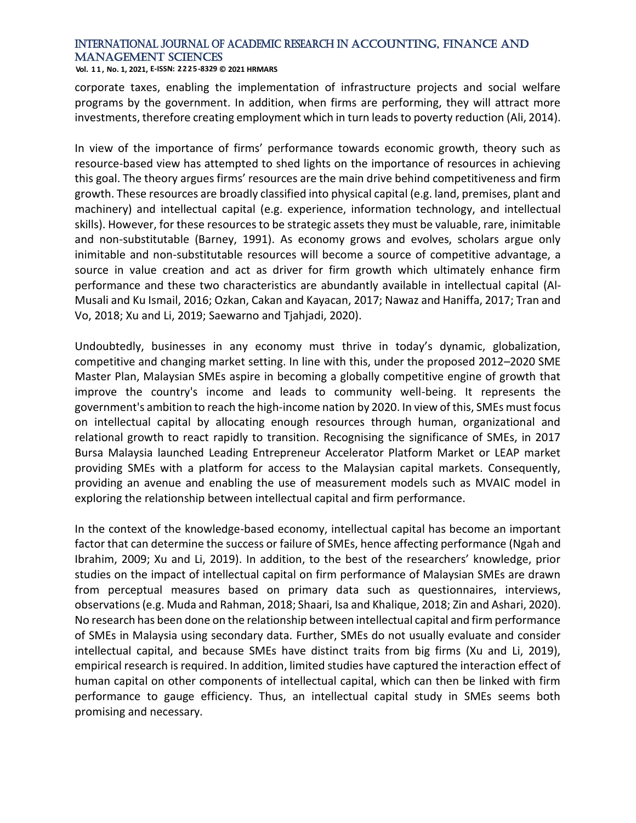**Vol. 1 1 , No. 1, 2021, E-ISSN: 2225-8329 © 2021 HRMARS**

corporate taxes, enabling the implementation of infrastructure projects and social welfare programs by the government. In addition, when firms are performing, they will attract more investments, therefore creating employment which in turn leads to poverty reduction (Ali, 2014).

In view of the importance of firms' performance towards economic growth, theory such as resource-based view has attempted to shed lights on the importance of resources in achieving this goal. The theory argues firms' resources are the main drive behind competitiveness and firm growth. These resources are broadly classified into physical capital (e.g. land, premises, plant and machinery) and intellectual capital (e.g. experience, information technology, and intellectual skills). However, for these resources to be strategic assets they must be valuable, rare, inimitable and non-substitutable (Barney, 1991). As economy grows and evolves, scholars argue only inimitable and non-substitutable resources will become a source of competitive advantage, a source in value creation and act as driver for firm growth which ultimately enhance firm performance and these two characteristics are abundantly available in intellectual capital (Al-Musali and Ku Ismail, 2016; Ozkan, Cakan and Kayacan, 2017; Nawaz and Haniffa, 2017; Tran and Vo, 2018; Xu and Li, 2019; Saewarno and Tjahjadi, 2020).

Undoubtedly, businesses in any economy must thrive in today's dynamic, globalization, competitive and changing market setting. In line with this, under the proposed 2012–2020 SME Master Plan, Malaysian SMEs aspire in becoming a globally competitive engine of growth that improve the country's income and leads to community well-being. It represents the government's ambition to reach the high-income nation by 2020. In view of this, SMEs must focus on intellectual capital by allocating enough resources through human, organizational and relational growth to react rapidly to transition. Recognising the significance of SMEs, in 2017 Bursa Malaysia launched Leading Entrepreneur Accelerator Platform Market or LEAP market providing SMEs with a platform for access to the Malaysian capital markets. Consequently, providing an avenue and enabling the use of measurement models such as MVAIC model in exploring the relationship between intellectual capital and firm performance.

In the context of the knowledge-based economy, intellectual capital has become an important factor that can determine the success or failure of SMEs, hence affecting performance (Ngah and Ibrahim, 2009; Xu and Li, 2019). In addition, to the best of the researchers' knowledge, prior studies on the impact of intellectual capital on firm performance of Malaysian SMEs are drawn from perceptual measures based on primary data such as questionnaires, interviews, observations (e.g. Muda and Rahman, 2018; Shaari, Isa and Khalique, 2018; Zin and Ashari, 2020). No research has been done on the relationship between intellectual capital and firm performance of SMEs in Malaysia using secondary data. Further, SMEs do not usually evaluate and consider intellectual capital, and because SMEs have distinct traits from big firms (Xu and Li, 2019), empirical research is required. In addition, limited studies have captured the interaction effect of human capital on other components of intellectual capital, which can then be linked with firm performance to gauge efficiency. Thus, an intellectual capital study in SMEs seems both promising and necessary.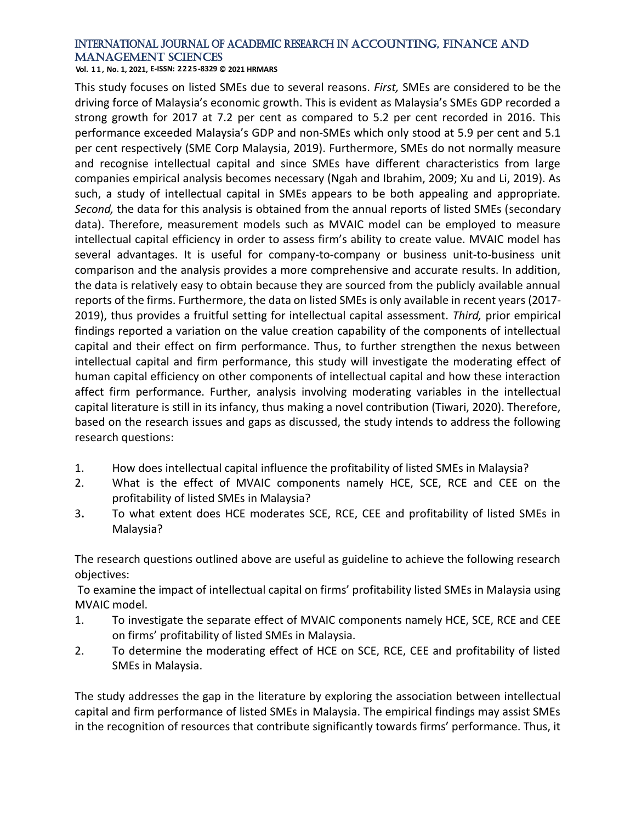**Vol. 1 1 , No. 1, 2021, E-ISSN: 2225-8329 © 2021 HRMARS**

This study focuses on listed SMEs due to several reasons. *First,* SMEs are considered to be the driving force of Malaysia's economic growth. This is evident as Malaysia's SMEs GDP recorded a strong growth for 2017 at 7.2 per cent as compared to 5.2 per cent recorded in 2016. This performance exceeded Malaysia's GDP and non-SMEs which only stood at 5.9 per cent and 5.1 per cent respectively (SME Corp Malaysia, 2019). Furthermore, SMEs do not normally measure and recognise intellectual capital and since SMEs have different characteristics from large companies empirical analysis becomes necessary (Ngah and Ibrahim, 2009; Xu and Li, 2019). As such, a study of intellectual capital in SMEs appears to be both appealing and appropriate. *Second,* the data for this analysis is obtained from the annual reports of listed SMEs (secondary data). Therefore, measurement models such as MVAIC model can be employed to measure intellectual capital efficiency in order to assess firm's ability to create value. MVAIC model has several advantages. It is useful for company-to-company or business unit-to-business unit comparison and the analysis provides a more comprehensive and accurate results. In addition, the data is relatively easy to obtain because they are sourced from the publicly available annual reports of the firms. Furthermore, the data on listed SMEs is only available in recent years (2017- 2019), thus provides a fruitful setting for intellectual capital assessment. *Third,* prior empirical findings reported a variation on the value creation capability of the components of intellectual capital and their effect on firm performance. Thus, to further strengthen the nexus between intellectual capital and firm performance, this study will investigate the moderating effect of human capital efficiency on other components of intellectual capital and how these interaction affect firm performance. Further, analysis involving moderating variables in the intellectual capital literature is still in its infancy, thus making a novel contribution (Tiwari, 2020). Therefore, based on the research issues and gaps as discussed, the study intends to address the following research questions:

- 1. How does intellectual capital influence the profitability of listed SMEs in Malaysia?
- 2. What is the effect of MVAIC components namely HCE, SCE, RCE and CEE on the profitability of listed SMEs in Malaysia?
- 3**.** To what extent does HCE moderates SCE, RCE, CEE and profitability of listed SMEs in Malaysia?

The research questions outlined above are useful as guideline to achieve the following research objectives:

To examine the impact of intellectual capital on firms' profitability listed SMEs in Malaysia using MVAIC model.

- 1. To investigate the separate effect of MVAIC components namely HCE, SCE, RCE and CEE on firms' profitability of listed SMEs in Malaysia.
- 2. To determine the moderating effect of HCE on SCE, RCE, CEE and profitability of listed SMEs in Malaysia.

The study addresses the gap in the literature by exploring the association between intellectual capital and firm performance of listed SMEs in Malaysia. The empirical findings may assist SMEs in the recognition of resources that contribute significantly towards firms' performance. Thus, it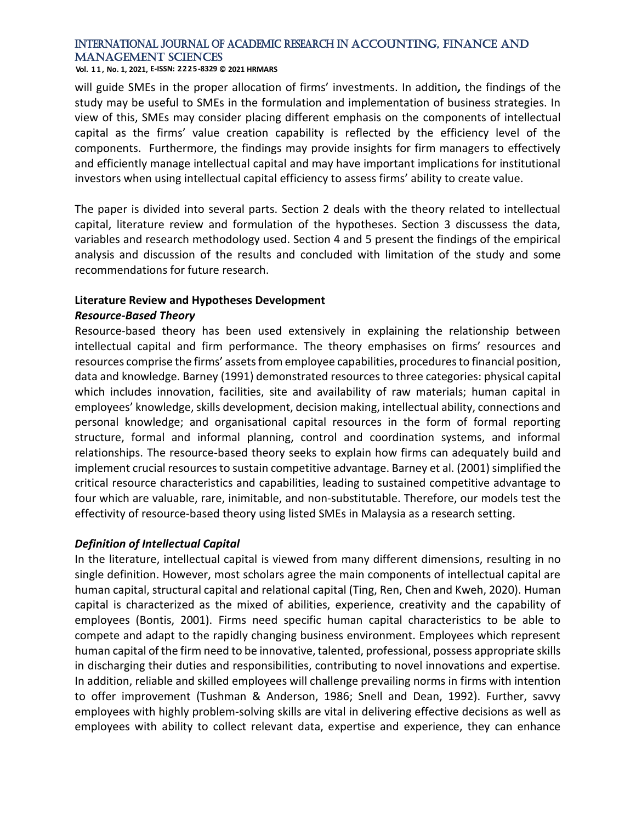**Vol. 1 1 , No. 1, 2021, E-ISSN: 2225-8329 © 2021 HRMARS**

will guide SMEs in the proper allocation of firms' investments. In addition*,* the findings of the study may be useful to SMEs in the formulation and implementation of business strategies. In view of this, SMEs may consider placing different emphasis on the components of intellectual capital as the firms' value creation capability is reflected by the efficiency level of the components. Furthermore, the findings may provide insights for firm managers to effectively and efficiently manage intellectual capital and may have important implications for institutional investors when using intellectual capital efficiency to assess firms' ability to create value.

The paper is divided into several parts. Section 2 deals with the theory related to intellectual capital, literature review and formulation of the hypotheses. Section 3 discussess the data, variables and research methodology used. Section 4 and 5 present the findings of the empirical analysis and discussion of the results and concluded with limitation of the study and some recommendations for future research.

# **Literature Review and Hypotheses Development** *Resource-Based Theory*

Resource-based theory has been used extensively in explaining the relationship between intellectual capital and firm performance. The theory emphasises on firms' resources and resources comprise the firms' assets from employee capabilities, procedures to financial position, data and knowledge. Barney (1991) demonstrated resources to three categories: physical capital which includes innovation, facilities, site and availability of raw materials; human capital in employees' knowledge, skills development, decision making, intellectual ability, connections and personal knowledge; and organisational capital resources in the form of formal reporting structure, formal and informal planning, control and coordination systems, and informal relationships. The resource-based theory seeks to explain how firms can adequately build and implement crucial resources to sustain competitive advantage. Barney et al. (2001) simplified the critical resource characteristics and capabilities, leading to sustained competitive advantage to four which are valuable, rare, inimitable, and non-substitutable. Therefore, our models test the effectivity of resource-based theory using listed SMEs in Malaysia as a research setting.

# *Definition of Intellectual Capital*

In the literature, intellectual capital is viewed from many different dimensions, resulting in no single definition. However, most scholars agree the main components of intellectual capital are human capital, structural capital and relational capital (Ting, Ren, Chen and Kweh, 2020). Human capital is characterized as the mixed of abilities, experience, creativity and the capability of employees (Bontis, 2001). Firms need specific human capital characteristics to be able to compete and adapt to the rapidly changing business environment. Employees which represent human capital of the firm need to be innovative, talented, professional, possess appropriate skills in discharging their duties and responsibilities, contributing to novel innovations and expertise. In addition, reliable and skilled employees will challenge prevailing norms in firms with intention to offer improvement (Tushman & Anderson, 1986; Snell and Dean, 1992). Further, savvy employees with highly problem-solving skills are vital in delivering effective decisions as well as employees with ability to collect relevant data, expertise and experience, they can enhance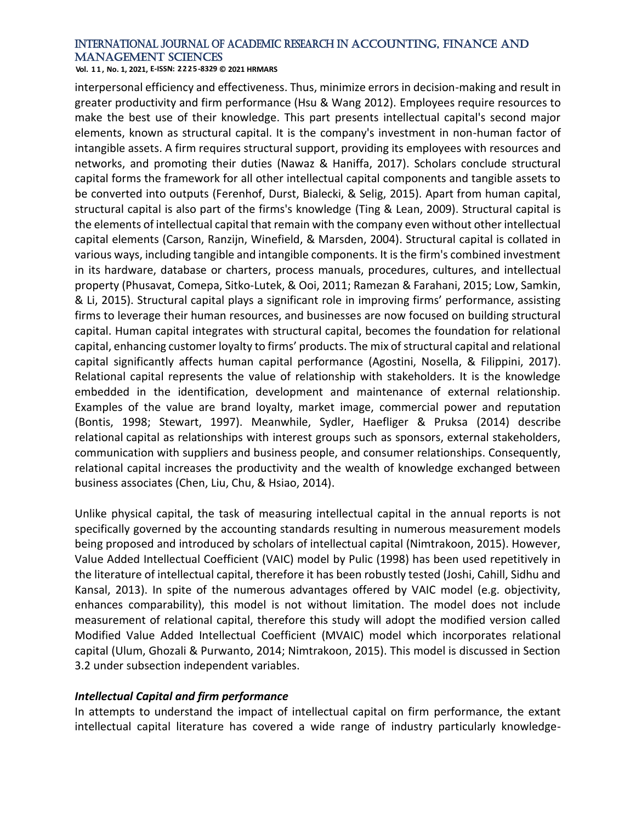**Vol. 1 1 , No. 1, 2021, E-ISSN: 2225-8329 © 2021 HRMARS**

interpersonal efficiency and effectiveness. Thus, minimize errors in decision-making and result in greater productivity and firm performance (Hsu & Wang 2012). Employees require resources to make the best use of their knowledge. This part presents intellectual capital's second major elements, known as structural capital. It is the company's investment in non-human factor of intangible assets. A firm requires structural support, providing its employees with resources and networks, and promoting their duties (Nawaz & Haniffa, 2017). Scholars conclude structural capital forms the framework for all other intellectual capital components and tangible assets to be converted into outputs (Ferenhof, Durst, Bialecki, & Selig, 2015). Apart from human capital, structural capital is also part of the firms's knowledge (Ting & Lean, 2009). Structural capital is the elements of intellectual capital that remain with the company even without other intellectual capital elements (Carson, Ranzijn, Winefield, & Marsden, 2004). Structural capital is collated in various ways, including tangible and intangible components. It is the firm's combined investment in its hardware, database or charters, process manuals, procedures, cultures, and intellectual property (Phusavat, Comepa, Sitko-Lutek, & Ooi, 2011; Ramezan & Farahani, 2015; Low, Samkin, & Li, 2015). Structural capital plays a significant role in improving firms' performance, assisting firms to leverage their human resources, and businesses are now focused on building structural capital. Human capital integrates with structural capital, becomes the foundation for relational capital, enhancing customer loyalty to firms' products. The mix of structural capital and relational capital significantly affects human capital performance (Agostini, Nosella, & Filippini, 2017). Relational capital represents the value of relationship with stakeholders. It is the knowledge embedded in the identification, development and maintenance of external relationship. Examples of the value are brand loyalty, market image, commercial power and reputation (Bontis, 1998; Stewart, 1997). Meanwhile, Sydler, Haefliger & Pruksa (2014) describe relational capital as relationships with interest groups such as sponsors, external stakeholders, communication with suppliers and business people, and consumer relationships. Consequently, relational capital increases the productivity and the wealth of knowledge exchanged between business associates (Chen, Liu, Chu, & Hsiao, 2014).

Unlike physical capital, the task of measuring intellectual capital in the annual reports is not specifically governed by the accounting standards resulting in numerous measurement models being proposed and introduced by scholars of intellectual capital (Nimtrakoon, 2015). However, Value Added Intellectual Coefficient (VAIC) model by Pulic (1998) has been used repetitively in the literature of intellectual capital, therefore it has been robustly tested (Joshi, Cahill, Sidhu and Kansal, 2013). In spite of the numerous advantages offered by VAIC model (e.g. objectivity, enhances comparability), this model is not without limitation. The model does not include measurement of relational capital, therefore this study will adopt the modified version called Modified Value Added Intellectual Coefficient (MVAIC) model which incorporates relational capital (Ulum, Ghozali & Purwanto, 2014; Nimtrakoon, 2015). This model is discussed in Section 3.2 under subsection independent variables.

# *Intellectual Capital and firm performance*

In attempts to understand the impact of intellectual capital on firm performance, the extant intellectual capital literature has covered a wide range of industry particularly knowledge-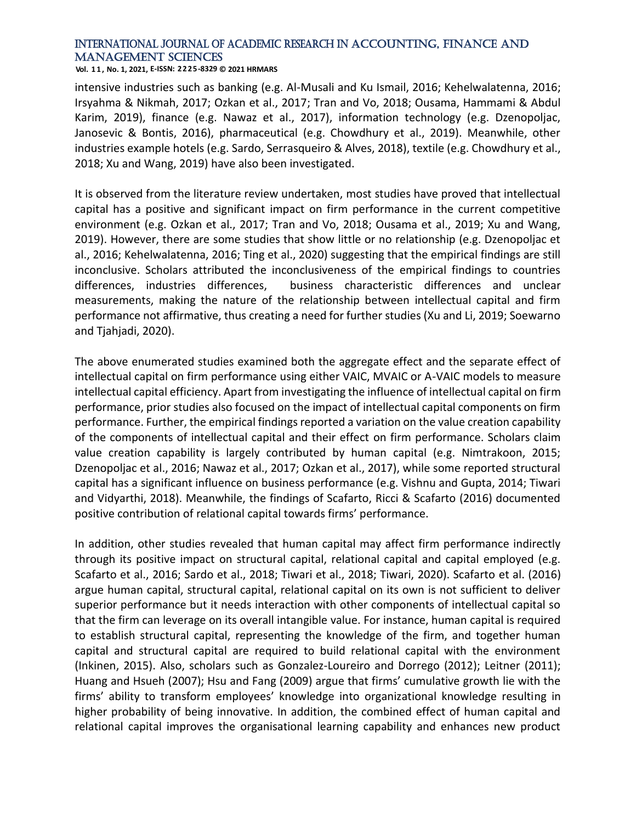**Vol. 1 1 , No. 1, 2021, E-ISSN: 2225-8329 © 2021 HRMARS**

intensive industries such as banking (e.g. Al-Musali and Ku Ismail, 2016; Kehelwalatenna, 2016; Irsyahma & Nikmah, 2017; Ozkan et al., 2017; Tran and Vo, 2018; Ousama, Hammami & Abdul Karim, 2019), finance (e.g. Nawaz et al., 2017), information technology (e.g. Dzenopoljac, Janosevic & Bontis, 2016), pharmaceutical (e.g. Chowdhury et al., 2019). Meanwhile, other industries example hotels (e.g. Sardo, Serrasqueiro & Alves, 2018), textile (e.g. Chowdhury et al., 2018; Xu and Wang, 2019) have also been investigated.

It is observed from the literature review undertaken, most studies have proved that intellectual capital has a positive and significant impact on firm performance in the current competitive environment (e.g. Ozkan et al., 2017; Tran and Vo, 2018; Ousama et al., 2019; Xu and Wang, 2019). However, there are some studies that show little or no relationship (e.g. Dzenopoljac et al., 2016; Kehelwalatenna, 2016; Ting et al., 2020) suggesting that the empirical findings are still inconclusive. Scholars attributed the inconclusiveness of the empirical findings to countries differences, industries differences, business characteristic differences and unclear measurements, making the nature of the relationship between intellectual capital and firm performance not affirmative, thus creating a need for further studies (Xu and Li, 2019; Soewarno and Tjahjadi, 2020).

The above enumerated studies examined both the aggregate effect and the separate effect of intellectual capital on firm performance using either VAIC, MVAIC or A-VAIC models to measure intellectual capital efficiency. Apart from investigating the influence of intellectual capital on firm performance, prior studies also focused on the impact of intellectual capital components on firm performance. Further, the empirical findings reported a variation on the value creation capability of the components of intellectual capital and their effect on firm performance. Scholars claim value creation capability is largely contributed by human capital (e.g. Nimtrakoon, 2015; Dzenopoljac et al., 2016; Nawaz et al., 2017; Ozkan et al., 2017), while some reported structural capital has a significant influence on business performance (e.g. Vishnu and Gupta, 2014; Tiwari and Vidyarthi, 2018). Meanwhile, the findings of Scafarto, Ricci & Scafarto (2016) documented positive contribution of relational capital towards firms' performance.

In addition, other studies revealed that human capital may affect firm performance indirectly through its positive impact on structural capital, relational capital and capital employed (e.g. Scafarto et al., 2016; Sardo et al., 2018; Tiwari et al., 2018; Tiwari, 2020). Scafarto et al. (2016) argue human capital, structural capital, relational capital on its own is not sufficient to deliver superior performance but it needs interaction with other components of intellectual capital so that the firm can leverage on its overall intangible value. For instance, human capital is required to establish structural capital, representing the knowledge of the firm, and together human capital and structural capital are required to build relational capital with the environment (Inkinen, 2015). Also, scholars such as Gonzalez-Loureiro and Dorrego (2012); Leitner (2011); Huang and Hsueh (2007); Hsu and Fang (2009) argue that firms' cumulative growth lie with the firms' ability to transform employees' knowledge into organizational knowledge resulting in higher probability of being innovative. In addition, the combined effect of human capital and relational capital improves the organisational learning capability and enhances new product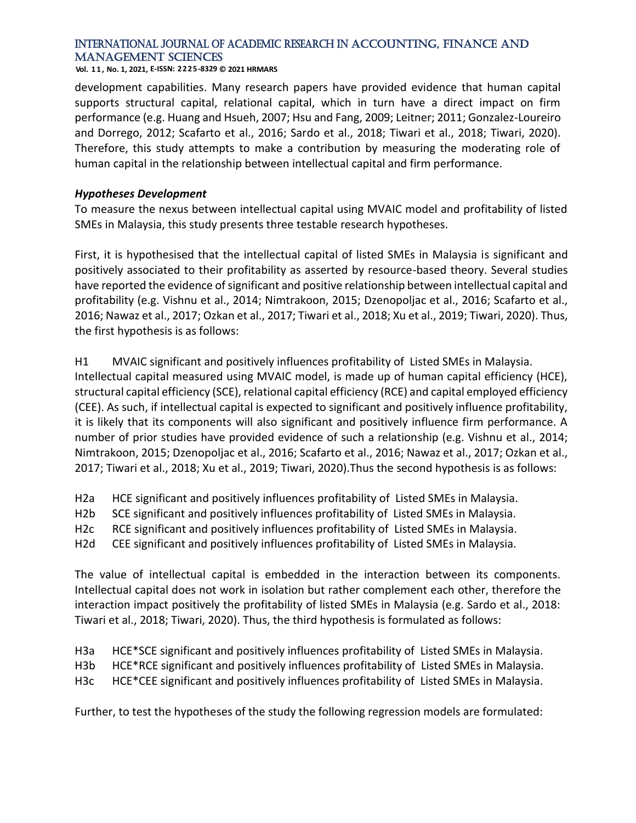**Vol. 1 1 , No. 1, 2021, E-ISSN: 2225-8329 © 2021 HRMARS**

development capabilities. Many research papers have provided evidence that human capital supports structural capital, relational capital, which in turn have a direct impact on firm performance (e.g. Huang and Hsueh, 2007; Hsu and Fang, 2009; Leitner; 2011; Gonzalez-Loureiro and Dorrego, 2012; Scafarto et al., 2016; Sardo et al., 2018; Tiwari et al., 2018; Tiwari, 2020). Therefore, this study attempts to make a contribution by measuring the moderating role of human capital in the relationship between intellectual capital and firm performance.

#### *Hypotheses Development*

To measure the nexus between intellectual capital using MVAIC model and profitability of listed SMEs in Malaysia, this study presents three testable research hypotheses.

First, it is hypothesised that the intellectual capital of listed SMEs in Malaysia is significant and positively associated to their profitability as asserted by resource-based theory. Several studies have reported the evidence of significant and positive relationship between intellectual capital and profitability (e.g. Vishnu et al., 2014; Nimtrakoon, 2015; Dzenopoljac et al., 2016; Scafarto et al., 2016; Nawaz et al., 2017; Ozkan et al., 2017; Tiwari et al., 2018; Xu et al., 2019; Tiwari, 2020). Thus, the first hypothesis is as follows:

H1 MVAIC significant and positively influences profitability of Listed SMEs in Malaysia. Intellectual capital measured using MVAIC model, is made up of human capital efficiency (HCE), structural capital efficiency (SCE), relational capital efficiency (RCE) and capital employed efficiency (CEE). As such, if intellectual capital is expected to significant and positively influence profitability, it is likely that its components will also significant and positively influence firm performance. A number of prior studies have provided evidence of such a relationship (e.g. Vishnu et al., 2014; Nimtrakoon, 2015; Dzenopoljac et al., 2016; Scafarto et al., 2016; Nawaz et al., 2017; Ozkan et al., 2017; Tiwari et al., 2018; Xu et al., 2019; Tiwari, 2020).Thus the second hypothesis is as follows:

- H2a HCE significant and positively influences profitability of Listed SMEs in Malaysia.
- H2b SCE significant and positively influences profitability of Listed SMEs in Malaysia.
- H2c RCE significant and positively influences profitability of Listed SMEs in Malaysia.
- H2d CEE significant and positively influences profitability of Listed SMEs in Malaysia.

The value of intellectual capital is embedded in the interaction between its components. Intellectual capital does not work in isolation but rather complement each other, therefore the interaction impact positively the profitability of listed SMEs in Malaysia (e.g. Sardo et al., 2018: Tiwari et al., 2018; Tiwari, 2020). Thus, the third hypothesis is formulated as follows:

H3a HCE\*SCE significant and positively influences profitability of Listed SMEs in Malaysia.

H3b HCE\*RCE significant and positively influences profitability of Listed SMEs in Malaysia.

H3c HCE\*CEE significant and positively influences profitability of Listed SMEs in Malaysia.

Further, to test the hypotheses of the study the following regression models are formulated: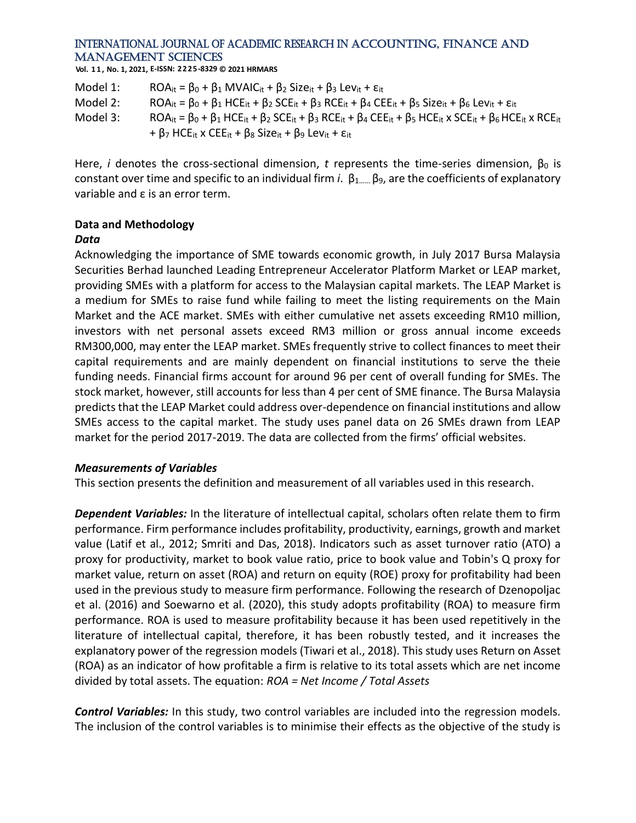**Vol. 1 1 , No. 1, 2021, E-ISSN: 2225-8329 © 2021 HRMARS**

Model 1:  $ROA_{it} = \beta_0 + \beta_1 MVAIC_{it} + \beta_2 Size_{it} + \beta_3 Lev_{it} + \varepsilon_{it}$ Model 2:  $ROA_{it} = \beta_0 + \beta_1 HCE_{it} + \beta_2 SCE_{it} + \beta_3 RCE_{it} + \beta_4 CEE_{it} + \beta_5 Size_{it} + \beta_6 Lev_{it} + \epsilon_{it}$ Model 3: ROA<sub>it</sub> =  $\beta_0$  +  $\beta_1$  HCE<sub>it</sub> +  $\beta_2$  SCE<sub>it</sub> +  $\beta_3$  RCE<sub>it</sub> +  $\beta_4$  CEE<sub>it</sub> +  $\beta_5$  HCE<sub>it</sub> +  $\beta_6$  HCE<sub>it</sub> x RCE<sub>it</sub> + β7 HCE<sub>it</sub> x CEE<sub>it</sub> + β<sub>8</sub> Size<sub>it</sub> + β<sub>9</sub> Lev<sub>it</sub> + ε<sub>it</sub>

Here, *i* denotes the cross-sectional dimension, *t* represents the time-series dimension,  $β<sub>0</sub>$  is constant over time and specific to an individual firm *i*.  $\beta_{1,...,p}$  are the coefficients of explanatory variable and ε is an error term.

#### **Data and Methodology**

#### *Data*

Acknowledging the importance of SME towards economic growth, in July 2017 Bursa Malaysia Securities Berhad launched Leading Entrepreneur Accelerator Platform Market or LEAP market, providing SMEs with a platform for access to the Malaysian capital markets. The LEAP Market is a medium for SMEs to raise fund while failing to meet the listing requirements on the Main Market and the ACE market. SMEs with either cumulative net assets exceeding RM10 million, investors with net personal assets exceed RM3 million or gross annual income exceeds RM300,000, may enter the LEAP market. SMEs frequently strive to collect finances to meet their capital requirements and are mainly dependent on financial institutions to serve the theie funding needs. Financial firms account for around 96 per cent of overall funding for SMEs. The stock market, however, still accounts for less than 4 per cent of SME finance. The Bursa Malaysia predicts that the LEAP Market could address over-dependence on financial institutions and allow SMEs access to the capital market. The study uses panel data on 26 SMEs drawn from LEAP market for the period 2017-2019. The data are collected from the firms' official websites.

#### *Measurements of Variables*

This section presents the definition and measurement of all variables used in this research.

*Dependent Variables:* In the literature of intellectual capital, scholars often relate them to firm performance. Firm performance includes profitability, productivity, earnings, growth and market value (Latif et al., 2012; Smriti and Das, 2018). Indicators such as asset turnover ratio (ATO) a proxy for productivity, market to book value ratio, price to book value and Tobin's Q proxy for market value, return on asset (ROA) and return on equity (ROE) proxy for profitability had been used in the previous study to measure firm performance. Following the research of Dzenopoljac et al. (2016) and Soewarno et al. (2020), this study adopts profitability (ROA) to measure firm performance. ROA is used to measure profitability because it has been used repetitively in the literature of intellectual capital, therefore, it has been robustly tested, and it increases the explanatory power of the regression models (Tiwari et al., 2018). This study uses Return on Asset (ROA) as an indicator of how profitable a firm is relative to its total assets which are net income divided by total assets. The equation: *ROA = Net Income / Total Assets*

*Control Variables:* In this study, two control variables are included into the regression models. The inclusion of the control variables is to minimise their effects as the objective of the study is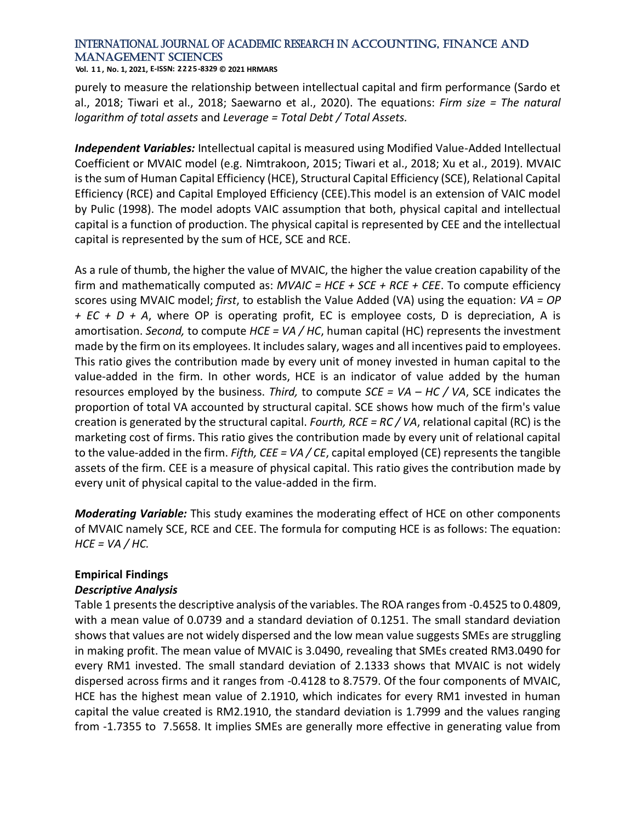**Vol. 1 1 , No. 1, 2021, E-ISSN: 2225-8329 © 2021 HRMARS**

purely to measure the relationship between intellectual capital and firm performance (Sardo et al., 2018; Tiwari et al., 2018; Saewarno et al., 2020). The equations: *Firm size = The natural logarithm of total assets* and *Leverage = Total Debt / Total Assets.*

*Independent Variables:* Intellectual capital is measured using Modified Value-Added Intellectual Coefficient or MVAIC model (e.g. Nimtrakoon, 2015; Tiwari et al., 2018; Xu et al., 2019). MVAIC is the sum of Human Capital Efficiency (HCE), Structural Capital Efficiency (SCE), Relational Capital Efficiency (RCE) and Capital Employed Efficiency (CEE).This model is an extension of VAIC model by Pulic (1998). The model adopts VAIC assumption that both, physical capital and intellectual capital is a function of production. The physical capital is represented by CEE and the intellectual capital is represented by the sum of HCE, SCE and RCE.

As a rule of thumb, the higher the value of MVAIC, the higher the value creation capability of the firm and mathematically computed as: *MVAIC = HCE + SCE + RCE + CEE*. To compute efficiency scores using MVAIC model; *first*, to establish the Value Added (VA) using the equation: *VA = OP + EC + D + A*, where OP is operating profit, EC is employee costs, D is depreciation, A is amortisation. *Second,* to compute *HCE = VA / HC*, human capital (HC) represents the investment made by the firm on its employees. It includes salary, wages and all incentives paid to employees. This ratio gives the contribution made by every unit of money invested in human capital to the value-added in the firm. In other words, HCE is an indicator of value added by the human resources employed by the business. *Third,* to compute *SCE = VA – HC / VA*, SCE indicates the proportion of total VA accounted by structural capital. SCE shows how much of the firm's value creation is generated by the structural capital. *Fourth, RCE = RC / VA*, relational capital (RC) is the marketing cost of firms. This ratio gives the contribution made by every unit of relational capital to the value-added in the firm. *Fifth, CEE = VA / CE*, capital employed (CE) represents the tangible assets of the firm. CEE is a measure of physical capital. This ratio gives the contribution made by every unit of physical capital to the value-added in the firm.

*Moderating Variable:* This study examines the moderating effect of HCE on other components of MVAIC namely SCE, RCE and CEE. The formula for computing HCE is as follows: The equation: *HCE = VA / HC.*

# **Empirical Findings**

# *Descriptive Analysis*

Table 1 presents the descriptive analysis of the variables. The ROA ranges from -0.4525 to 0.4809, with a mean value of 0.0739 and a standard deviation of 0.1251. The small standard deviation shows that values are not widely dispersed and the low mean value suggests SMEs are struggling in making profit. The mean value of MVAIC is 3.0490, revealing that SMEs created RM3.0490 for every RM1 invested. The small standard deviation of 2.1333 shows that MVAIC is not widely dispersed across firms and it ranges from -0.4128 to 8.7579. Of the four components of MVAIC, HCE has the highest mean value of 2.1910, which indicates for every RM1 invested in human capital the value created is RM2.1910, the standard deviation is 1.7999 and the values ranging from -1.7355 to 7.5658. It implies SMEs are generally more effective in generating value from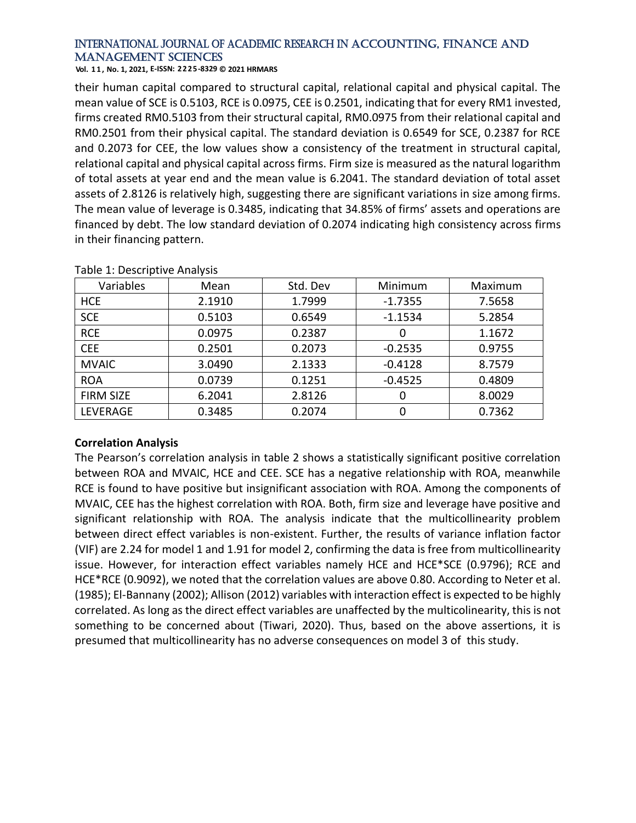**Vol. 1 1 , No. 1, 2021, E-ISSN: 2225-8329 © 2021 HRMARS**

their human capital compared to structural capital, relational capital and physical capital. The mean value of SCE is 0.5103, RCE is 0.0975, CEE is 0.2501, indicating that for every RM1 invested, firms created RM0.5103 from their structural capital, RM0.0975 from their relational capital and RM0.2501 from their physical capital. The standard deviation is 0.6549 for SCE, 0.2387 for RCE and 0.2073 for CEE, the low values show a consistency of the treatment in structural capital, relational capital and physical capital across firms. Firm size is measured as the natural logarithm of total assets at year end and the mean value is 6.2041. The standard deviation of total asset assets of 2.8126 is relatively high, suggesting there are significant variations in size among firms. The mean value of leverage is 0.3485, indicating that 34.85% of firms' assets and operations are financed by debt. The low standard deviation of 0.2074 indicating high consistency across firms in their financing pattern.

| Variables        | Mean   | Std. Dev | Minimum   | Maximum |
|------------------|--------|----------|-----------|---------|
| <b>HCE</b>       | 2.1910 | 1.7999   | $-1.7355$ | 7.5658  |
| <b>SCE</b>       | 0.5103 | 0.6549   | $-1.1534$ | 5.2854  |
| <b>RCE</b>       | 0.0975 | 0.2387   | 0         | 1.1672  |
| <b>CEE</b>       | 0.2501 | 0.2073   | $-0.2535$ | 0.9755  |
| <b>MVAIC</b>     | 3.0490 | 2.1333   | $-0.4128$ | 8.7579  |
| <b>ROA</b>       | 0.0739 | 0.1251   | $-0.4525$ | 0.4809  |
| <b>FIRM SIZE</b> | 6.2041 | 2.8126   | 0         | 8.0029  |
| LEVERAGE         | 0.3485 | 0.2074   | 0         | 0.7362  |

Table 1: Descriptive Analysis

# **Correlation Analysis**

The Pearson's correlation analysis in table 2 shows a statistically significant positive correlation between ROA and MVAIC, HCE and CEE. SCE has a negative relationship with ROA, meanwhile RCE is found to have positive but insignificant association with ROA. Among the components of MVAIC, CEE has the highest correlation with ROA. Both, firm size and leverage have positive and significant relationship with ROA. The analysis indicate that the multicollinearity problem between direct effect variables is non-existent. Further, the results of variance inflation factor (VIF) are 2.24 for model 1 and 1.91 for model 2, confirming the data is free from multicollinearity issue. However, for interaction effect variables namely HCE and HCE\*SCE (0.9796); RCE and HCE\*RCE (0.9092), we noted that the correlation values are above 0.80. According to Neter et al. (1985); El-Bannany (2002); Allison (2012) variables with interaction effect is expected to be highly correlated. As long as the direct effect variables are unaffected by the multicolinearity, this is not something to be concerned about (Tiwari, 2020). Thus, based on the above assertions, it is presumed that multicollinearity has no adverse consequences on model 3 of this study.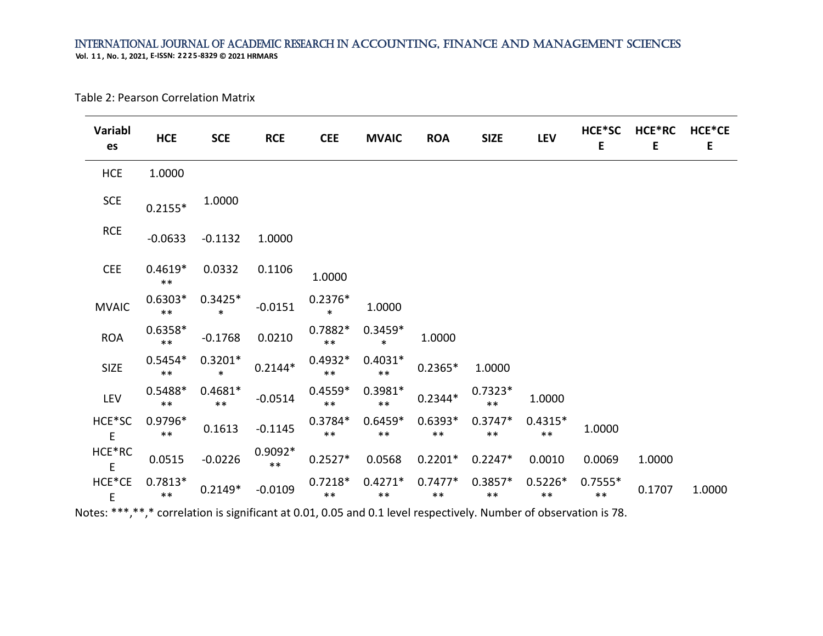#### INTERNATIONAL JOURNAL OF ACADEMIC RESEARCH IN ACCOUNTING, FINANCE AND MANAGEMENT SCIENCES **Vol. 1 1 , No. 1, 2021, E-ISSN: 2225-8329 © 2021 HRMARS**

Table 2: Pearson Correlation Matrix

| Variabl<br>es                                                                                                     | <b>HCE</b>         | <b>SCE</b>          | <b>RCE</b>        | <b>CEE</b>          | <b>MVAIC</b>        | <b>ROA</b>         | <b>SIZE</b>        | <b>LEV</b>         | HCE*SC<br>E        | HCE*RC<br>E | HCE*CE<br>E |
|-------------------------------------------------------------------------------------------------------------------|--------------------|---------------------|-------------------|---------------------|---------------------|--------------------|--------------------|--------------------|--------------------|-------------|-------------|
| <b>HCE</b>                                                                                                        | 1.0000             |                     |                   |                     |                     |                    |                    |                    |                    |             |             |
| <b>SCE</b>                                                                                                        | $0.2155*$          | 1.0000              |                   |                     |                     |                    |                    |                    |                    |             |             |
| <b>RCE</b>                                                                                                        | $-0.0633$          | $-0.1132$           | 1.0000            |                     |                     |                    |                    |                    |                    |             |             |
| <b>CEE</b>                                                                                                        | $0.4619*$<br>$***$ | 0.0332              | 0.1106            | 1.0000              |                     |                    |                    |                    |                    |             |             |
| <b>MVAIC</b>                                                                                                      | $0.6303*$<br>$***$ | $0.3425*$<br>$\ast$ | $-0.0151$         | $0.2376*$<br>$\ast$ | 1.0000              |                    |                    |                    |                    |             |             |
| <b>ROA</b>                                                                                                        | $0.6358*$<br>$***$ | $-0.1768$           | 0.0210            | $0.7882*$<br>$***$  | $0.3459*$<br>$\ast$ | 1.0000             |                    |                    |                    |             |             |
| <b>SIZE</b>                                                                                                       | $0.5454*$<br>$***$ | $0.3201*$<br>$\ast$ | $0.2144*$         | $0.4932*$<br>$***$  | $0.4031*$<br>$***$  | $0.2365*$          | 1.0000             |                    |                    |             |             |
| LEV                                                                                                               | $0.5488*$<br>$***$ | $0.4681*$<br>$***$  | $-0.0514$         | $0.4559*$<br>$***$  | $0.3981*$<br>$***$  | $0.2344*$          | $0.7323*$<br>$***$ | 1.0000             |                    |             |             |
| HCE*SC<br>E                                                                                                       | $0.9796*$<br>$***$ | 0.1613              | $-0.1145$         | $0.3784*$<br>$***$  | $0.6459*$<br>$***$  | $0.6393*$<br>$***$ | $0.3747*$<br>$***$ | $0.4315*$<br>$***$ | 1.0000             |             |             |
| HCE*RC<br>E                                                                                                       | 0.0515             | $-0.0226$           | $0.9092*$<br>$**$ | $0.2527*$           | 0.0568              | $0.2201*$          | $0.2247*$          | 0.0010             | 0.0069             | 1.0000      |             |
| HCE*CE<br>E                                                                                                       | $0.7813*$<br>$***$ | $0.2149*$           | $-0.0109$         | $0.7218*$<br>$***$  | $0.4271*$<br>$***$  | $0.7477*$<br>$***$ | $0.3857*$<br>$***$ | $0.5226*$<br>$***$ | $0.7555*$<br>$***$ | 0.1707      | 1.0000      |
| Notes: ***,**,* correlation is significant at 0.01, 0.05 and 0.1 level respectively. Number of observation is 78. |                    |                     |                   |                     |                     |                    |                    |                    |                    |             |             |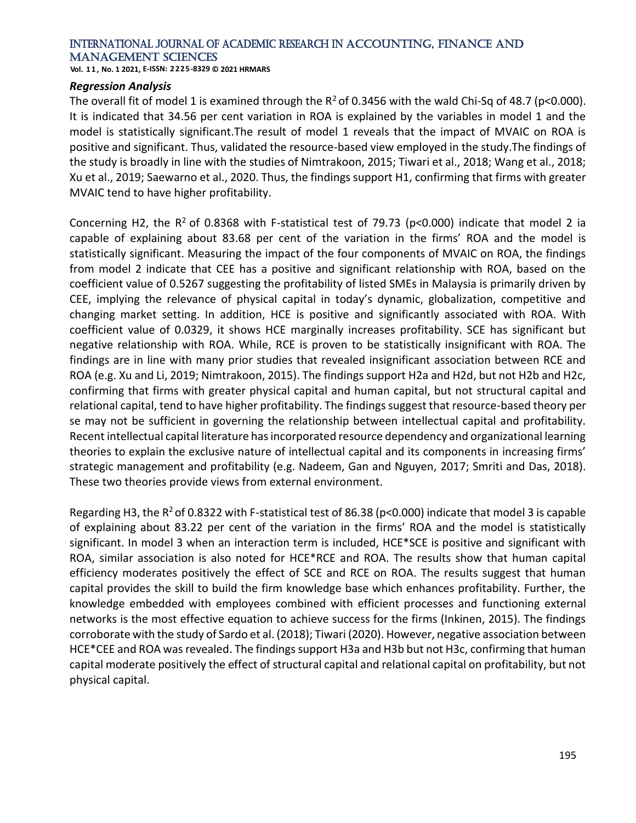**Vol. 1 1 , No. 1 2021, E-ISSN: 2225-8329 © 2021 HRMARS**

#### *Regression Analysis*

The overall fit of model 1 is examined through the  $R^2$  of 0.3456 with the wald Chi-Sq of 48.7 (p<0.000). It is indicated that 34.56 per cent variation in ROA is explained by the variables in model 1 and the model is statistically significant.The result of model 1 reveals that the impact of MVAIC on ROA is positive and significant. Thus, validated the resource-based view employed in the study.The findings of the study is broadly in line with the studies of Nimtrakoon, 2015; Tiwari et al., 2018; Wang et al., 2018; Xu et al., 2019; Saewarno et al., 2020. Thus, the findings support H1, confirming that firms with greater MVAIC tend to have higher profitability.

Concerning H2, the  $R^2$  of 0.8368 with F-statistical test of 79.73 (p<0.000) indicate that model 2 ia capable of explaining about 83.68 per cent of the variation in the firms' ROA and the model is statistically significant. Measuring the impact of the four components of MVAIC on ROA, the findings from model 2 indicate that CEE has a positive and significant relationship with ROA, based on the coefficient value of 0.5267 suggesting the profitability of listed SMEs in Malaysia is primarily driven by CEE, implying the relevance of physical capital in today's dynamic, globalization, competitive and changing market setting. In addition, HCE is positive and significantly associated with ROA. With coefficient value of 0.0329, it shows HCE marginally increases profitability. SCE has significant but negative relationship with ROA. While, RCE is proven to be statistically insignificant with ROA. The findings are in line with many prior studies that revealed insignificant association between RCE and ROA (e.g. Xu and Li, 2019; Nimtrakoon, 2015). The findings support H2a and H2d, but not H2b and H2c, confirming that firms with greater physical capital and human capital, but not structural capital and relational capital, tend to have higher profitability. The findings suggest that resource-based theory per se may not be sufficient in governing the relationship between intellectual capital and profitability. Recent intellectual capital literature has incorporated resource dependency and organizational learning theories to explain the exclusive nature of intellectual capital and its components in increasing firms' strategic management and profitability (e.g. Nadeem, Gan and Nguyen, 2017; Smriti and Das, 2018). These two theories provide views from external environment.

Regarding H3, the R<sup>2</sup> of 0.8322 with F-statistical test of 86.38 (p<0.000) indicate that model 3 is capable of explaining about 83.22 per cent of the variation in the firms' ROA and the model is statistically significant. In model 3 when an interaction term is included, HCE\*SCE is positive and significant with ROA, similar association is also noted for HCE\*RCE and ROA. The results show that human capital efficiency moderates positively the effect of SCE and RCE on ROA. The results suggest that human capital provides the skill to build the firm knowledge base which enhances profitability. Further, the knowledge embedded with employees combined with efficient processes and functioning external networks is the most effective equation to achieve success for the firms (Inkinen, 2015). The findings corroborate with the study of Sardo et al. (2018); Tiwari (2020). However, negative association between HCE\*CEE and ROA was revealed. The findings support H3a and H3b but not H3c, confirming that human capital moderate positively the effect of structural capital and relational capital on profitability, but not physical capital.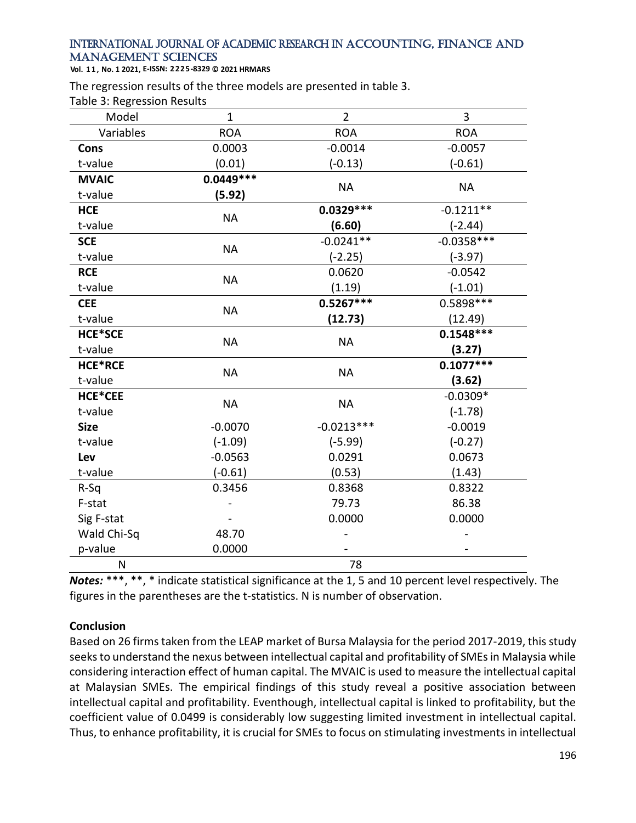**Vol. 1 1 , No. 1 2021, E-ISSN: 2225-8329 © 2021 HRMARS**

The regression results of the three models are presented in table 3.

Table 3: Regression Results

| Model<br>Variables<br>Cons<br>t-value<br><b>MVAIC</b><br>t-value<br><b>HCE</b><br>t-value<br><b>SCE</b> | $\mathbf{1}$<br><b>ROA</b><br>0.0003<br>(0.01)<br>$0.0449***$<br>(5.92) | $\overline{2}$<br><b>ROA</b><br>$-0.0014$<br>$(-0.13)$<br><b>NA</b> | $\overline{3}$<br><b>ROA</b><br>$-0.0057$<br>$(-0.61)$ |  |  |
|---------------------------------------------------------------------------------------------------------|-------------------------------------------------------------------------|---------------------------------------------------------------------|--------------------------------------------------------|--|--|
|                                                                                                         |                                                                         |                                                                     |                                                        |  |  |
|                                                                                                         |                                                                         |                                                                     |                                                        |  |  |
|                                                                                                         |                                                                         |                                                                     |                                                        |  |  |
|                                                                                                         |                                                                         |                                                                     |                                                        |  |  |
|                                                                                                         |                                                                         |                                                                     |                                                        |  |  |
|                                                                                                         |                                                                         |                                                                     | <b>NA</b>                                              |  |  |
|                                                                                                         |                                                                         | $0.0329***$                                                         | $-0.1211**$                                            |  |  |
|                                                                                                         | <b>NA</b>                                                               | (6.60)                                                              | $(-2.44)$                                              |  |  |
|                                                                                                         |                                                                         | $-0.0241**$                                                         | $-0.0358***$                                           |  |  |
| t-value                                                                                                 | <b>NA</b>                                                               | $(-2.25)$                                                           | $(-3.97)$                                              |  |  |
| <b>RCE</b>                                                                                              |                                                                         | 0.0620                                                              | $-0.0542$                                              |  |  |
| t-value                                                                                                 | <b>NA</b>                                                               | (1.19)                                                              | $(-1.01)$                                              |  |  |
| <b>CEE</b>                                                                                              |                                                                         | $0.5267***$                                                         | 0.5898 ***                                             |  |  |
| t-value                                                                                                 | <b>NA</b>                                                               | (12.73)                                                             | (12.49)                                                |  |  |
| HCE*SCE                                                                                                 |                                                                         |                                                                     | $0.1548***$                                            |  |  |
| t-value                                                                                                 | <b>NA</b>                                                               | <b>NA</b>                                                           | (3.27)                                                 |  |  |
| <b>HCE*RCE</b>                                                                                          |                                                                         |                                                                     | $0.1077***$                                            |  |  |
| t-value                                                                                                 | <b>NA</b>                                                               | <b>NA</b>                                                           | (3.62)                                                 |  |  |
| HCE*CEE                                                                                                 |                                                                         |                                                                     | $-0.0309*$                                             |  |  |
| t-value                                                                                                 | <b>NA</b>                                                               | <b>NA</b>                                                           | $(-1.78)$                                              |  |  |
| <b>Size</b>                                                                                             | $-0.0070$                                                               | $-0.0213***$                                                        | $-0.0019$                                              |  |  |
| t-value                                                                                                 | $(-1.09)$                                                               | $(-5.99)$                                                           | $(-0.27)$                                              |  |  |
| Lev                                                                                                     | $-0.0563$                                                               | 0.0291                                                              | 0.0673                                                 |  |  |
| t-value                                                                                                 | $(-0.61)$                                                               | (0.53)                                                              | (1.43)                                                 |  |  |
| $R-Sq$                                                                                                  | 0.3456                                                                  | 0.8368                                                              | 0.8322                                                 |  |  |
| F-stat                                                                                                  |                                                                         | 79.73                                                               | 86.38                                                  |  |  |
| Sig F-stat                                                                                              |                                                                         | 0.0000                                                              | 0.0000                                                 |  |  |
| Wald Chi-Sq                                                                                             | 48.70                                                                   |                                                                     |                                                        |  |  |
| p-value                                                                                                 | 0.0000                                                                  |                                                                     |                                                        |  |  |
| ${\sf N}$                                                                                               |                                                                         | 78                                                                  |                                                        |  |  |

*Notes:* \*\*\*, \*\*, \* indicate statistical significance at the 1, 5 and 10 percent level respectively. The figures in the parentheses are the t-statistics. N is number of observation.

# **Conclusion**

Based on 26 firms taken from the LEAP market of Bursa Malaysia for the period 2017-2019, this study seeks to understand the nexus between intellectual capital and profitability of SMEs in Malaysia while considering interaction effect of human capital. The MVAIC is used to measure the intellectual capital at Malaysian SMEs. The empirical findings of this study reveal a positive association between intellectual capital and profitability. Eventhough, intellectual capital is linked to profitability, but the coefficient value of 0.0499 is considerably low suggesting limited investment in intellectual capital. Thus, to enhance profitability, it is crucial for SMEs to focus on stimulating investments in intellectual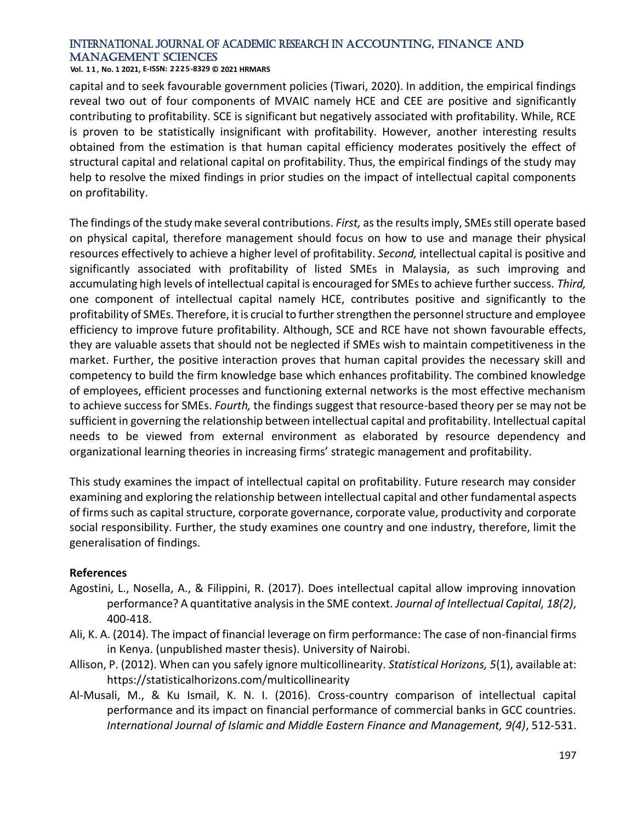**Vol. 1 1 , No. 1 2021, E-ISSN: 2225-8329 © 2021 HRMARS**

capital and to seek favourable government policies (Tiwari, 2020). In addition, the empirical findings reveal two out of four components of MVAIC namely HCE and CEE are positive and significantly contributing to profitability. SCE is significant but negatively associated with profitability. While, RCE is proven to be statistically insignificant with profitability. However, another interesting results obtained from the estimation is that human capital efficiency moderates positively the effect of structural capital and relational capital on profitability. Thus, the empirical findings of the study may help to resolve the mixed findings in prior studies on the impact of intellectual capital components on profitability.

The findings of the study make several contributions. *First,* as the results imply, SMEs still operate based on physical capital, therefore management should focus on how to use and manage their physical resources effectively to achieve a higher level of profitability. *Second,* intellectual capital is positive and significantly associated with profitability of listed SMEs in Malaysia, as such improving and accumulating high levels of intellectual capital is encouraged for SMEs to achieve further success. *Third,* one component of intellectual capital namely HCE, contributes positive and significantly to the profitability of SMEs. Therefore, it is crucial to further strengthen the personnel structure and employee efficiency to improve future profitability. Although, SCE and RCE have not shown favourable effects, they are valuable assets that should not be neglected if SMEs wish to maintain competitiveness in the market. Further, the positive interaction proves that human capital provides the necessary skill and competency to build the firm knowledge base which enhances profitability. The combined knowledge of employees, efficient processes and functioning external networks is the most effective mechanism to achieve success for SMEs. *Fourth,* the findings suggest that resource-based theory per se may not be sufficient in governing the relationship between intellectual capital and profitability. Intellectual capital needs to be viewed from external environment as elaborated by resource dependency and organizational learning theories in increasing firms' strategic management and profitability.

This study examines the impact of intellectual capital on profitability. Future research may consider examining and exploring the relationship between intellectual capital and other fundamental aspects of firms such as capital structure, corporate governance, corporate value, productivity and corporate social responsibility. Further, the study examines one country and one industry, therefore, limit the generalisation of findings.

# **References**

- Agostini, L., Nosella, A., & Filippini, R. (2017). Does intellectual capital allow improving innovation performance? A quantitative analysis in the SME context. *Journal of Intellectual Capital, 18(2)*, 400-418.
- Ali, K. A. (2014). The impact of financial leverage on firm performance: The case of non-financial firms in Kenya. (unpublished master thesis). University of Nairobi.
- Allison, P. (2012). When can you safely ignore multicollinearity. *Statistical Horizons, 5*(1), available at: https://statisticalhorizons.com/multicollinearity
- Al-Musali, M., & Ku Ismail, K. N. I. (2016). Cross-country comparison of intellectual capital performance and its impact on financial performance of commercial banks in GCC countries. *International Journal of Islamic and Middle Eastern Finance and Management, 9(4)*, 512-531.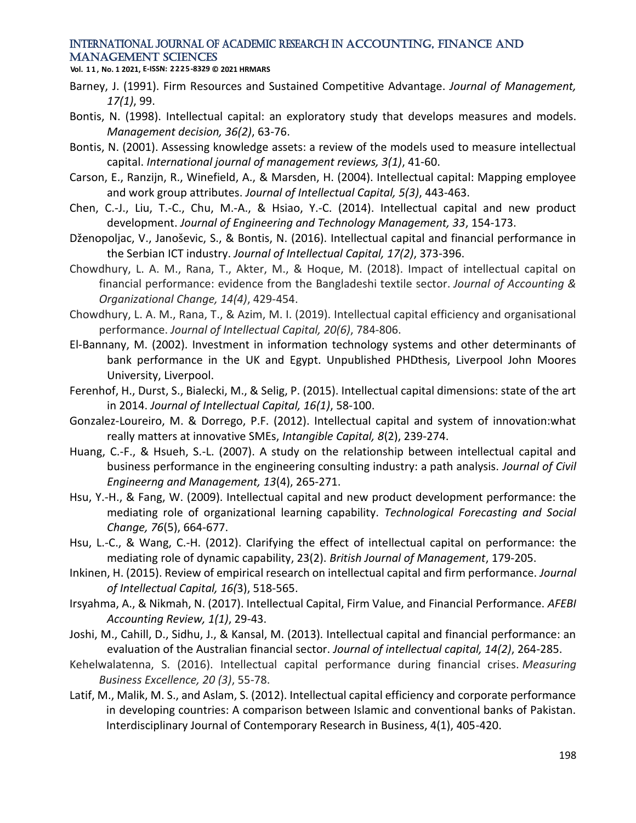**Vol. 1 1 , No. 1 2021, E-ISSN: 2225-8329 © 2021 HRMARS**

- Barney, J. (1991). Firm Resources and Sustained Competitive Advantage. *Journal of Management, 17(1)*, 99.
- Bontis, N. (1998). Intellectual capital: an exploratory study that develops measures and models. *Management decision, 36(2)*, 63-76.
- Bontis, N. (2001). Assessing knowledge assets: a review of the models used to measure intellectual capital. *International journal of management reviews, 3(1)*, 41-60.
- Carson, E., Ranzijn, R., Winefield, A., & Marsden, H. (2004). Intellectual capital: Mapping employee and work group attributes. *Journal of Intellectual Capital, 5(3)*, 443-463.
- Chen, C.-J., Liu, T.-C., Chu, M.-A., & Hsiao, Y.-C. (2014). Intellectual capital and new product development. *Journal of Engineering and Technology Management, 33*, 154-173.
- Dženopoljac, V., Janoševic, S., & Bontis, N. (2016). Intellectual capital and financial performance in the Serbian ICT industry. *Journal of Intellectual Capital, 17(2)*, 373-396.
- Chowdhury, L. A. M., Rana, T., Akter, M., & Hoque, M. (2018). Impact of intellectual capital on financial performance: evidence from the Bangladeshi textile sector. *Journal of Accounting & Organizational Change, 14(4)*, 429-454.
- Chowdhury, L. A. M., Rana, T., & Azim, M. I. (2019). Intellectual capital efficiency and organisational performance. *Journal of Intellectual Capital, 20(6)*, 784-806.
- El-Bannany, M. (2002). Investment in information technology systems and other determinants of bank performance in the UK and Egypt. Unpublished PHDthesis, Liverpool John Moores University, Liverpool.
- Ferenhof, H., Durst, S., Bialecki, M., & Selig, P. (2015). Intellectual capital dimensions: state of the art in 2014. *Journal of Intellectual Capital, 16(1)*, 58-100.
- Gonzalez-Loureiro, M. & Dorrego, P.F. (2012). Intellectual capital and system of innovation:what really matters at innovative SMEs, *Intangible Capital, 8*(2), 239-274.
- Huang, C.-F., & Hsueh, S.-L. (2007). A study on the relationship between intellectual capital and business performance in the engineering consulting industry: a path analysis. *Journal of Civil Engineerng and Management, 13*(4), 265-271.
- Hsu, Y.-H., & Fang, W. (2009). Intellectual capital and new product development performance: the mediating role of organizational learning capability. *Technological Forecasting and Social Change, 76*(5), 664-677.
- Hsu, L.-C., & Wang, C.-H. (2012). Clarifying the effect of intellectual capital on performance: the mediating role of dynamic capability, 23(2). *British Journal of Management*, 179-205.
- Inkinen, H. (2015). Review of empirical research on intellectual capital and firm performance. *Journal of Intellectual Capital, 16(*3), 518-565.
- Irsyahma, A., & Nikmah, N. (2017). Intellectual Capital, Firm Value, and Financial Performance. *AFEBI Accounting Review, 1(1)*, 29-43.
- Joshi, M., Cahill, D., Sidhu, J., & Kansal, M. (2013). Intellectual capital and financial performance: an evaluation of the Australian financial sector. *Journal of intellectual capital, 14(2)*, 264-285.
- Kehelwalatenna, S. (2016). Intellectual capital performance during financial crises. *Measuring Business Excellence, 20 (3)*, 55-78.
- Latif, M., Malik, M. S., and Aslam, S. (2012). Intellectual capital efficiency and corporate performance in developing countries: A comparison between Islamic and conventional banks of Pakistan. Interdisciplinary Journal of Contemporary Research in Business, 4(1), 405-420.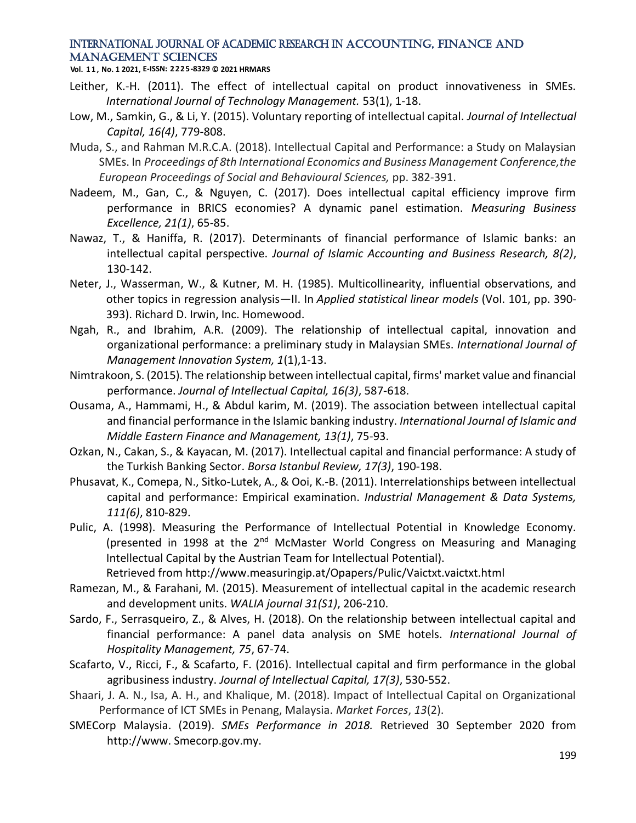**Vol. 1 1 , No. 1 2021, E-ISSN: 2225-8329 © 2021 HRMARS**

- Leither, K.-H. (2011). The effect of intellectual capital on product innovativeness in SMEs. *International Journal of Technology Management.* 53(1), 1-18.
- Low, M., Samkin, G., & Li, Y. (2015). Voluntary reporting of intellectual capital. *Journal of Intellectual Capital, 16(4)*, 779-808.
- Muda, S., and Rahman M.R.C.A. (2018). Intellectual Capital and Performance: a Study on Malaysian SMEs. In *Proceedings of 8th International Economics and Business Management Conference,the European Proceedings of Social and Behavioural Sciences,* pp. 382-391.
- Nadeem, M., Gan, C., & Nguyen, C. (2017). Does intellectual capital efficiency improve firm performance in BRICS economies? A dynamic panel estimation. *Measuring Business Excellence, 21(1)*, 65-85.
- Nawaz, T., & Haniffa, R. (2017). Determinants of financial performance of Islamic banks: an intellectual capital perspective. *Journal of Islamic Accounting and Business Research, 8(2)*, 130-142.
- Neter, J., Wasserman, W., & Kutner, M. H. (1985). Multicollinearity, influential observations, and other topics in regression analysis—II. In *Applied statistical linear models* (Vol. 101, pp. 390- 393). Richard D. Irwin, Inc. Homewood.
- Ngah, R., and Ibrahim, A.R. (2009). The relationship of intellectual capital, innovation and organizational performance: a preliminary study in Malaysian SMEs. *International Journal of Management Innovation System, 1*(1),1-13.
- Nimtrakoon, S. (2015). The relationship between intellectual capital, firms' market value and financial performance. *Journal of Intellectual Capital, 16(3)*, 587-618.
- Ousama, A., Hammami, H., & Abdul karim, M. (2019). The association between intellectual capital and financial performance in the Islamic banking industry. *International Journal of Islamic and Middle Eastern Finance and Management, 13(1)*, 75-93.
- Ozkan, N., Cakan, S., & Kayacan, M. (2017). Intellectual capital and financial performance: A study of the Turkish Banking Sector. *Borsa Istanbul Review, 17(3)*, 190-198.
- Phusavat, K., Comepa, N., Sitko-Lutek, A., & Ooi, K.-B. (2011). Interrelationships between intellectual capital and performance: Empirical examination. *Industrial Management & Data Systems, 111(6)*, 810-829.
- Pulic, A. (1998). Measuring the Performance of Intellectual Potential in Knowledge Economy. (presented in 1998 at the 2<sup>nd</sup> McMaster World Congress on Measuring and Managing Intellectual Capital by the Austrian Team for Intellectual Potential).

Retrieved from http://www.measuringip.at/Opapers/Pulic/Vaictxt.vaictxt.html

- Ramezan, M., & Farahani, M. (2015). Measurement of intellectual capital in the academic research and development units. *WALIA journal 31(S1)*, 206-210.
- Sardo, F., Serrasqueiro, Z., & Alves, H. (2018). On the relationship between intellectual capital and financial performance: A panel data analysis on SME hotels. *International Journal of Hospitality Management, 75*, 67-74.
- Scafarto, V., Ricci, F., & Scafarto, F. (2016). Intellectual capital and firm performance in the global agribusiness industry. *Journal of Intellectual Capital, 17(3)*, 530-552.
- Shaari, J. A. N., Isa, A. H., and Khalique, M. (2018). Impact of Intellectual Capital on Organizational Performance of ICT SMEs in Penang, Malaysia. *Market Forces*, *13*(2).
- SMECorp Malaysia. (2019). *SMEs Performance in 2018.* Retrieved 30 September 2020 from http://www. Smecorp.gov.my.